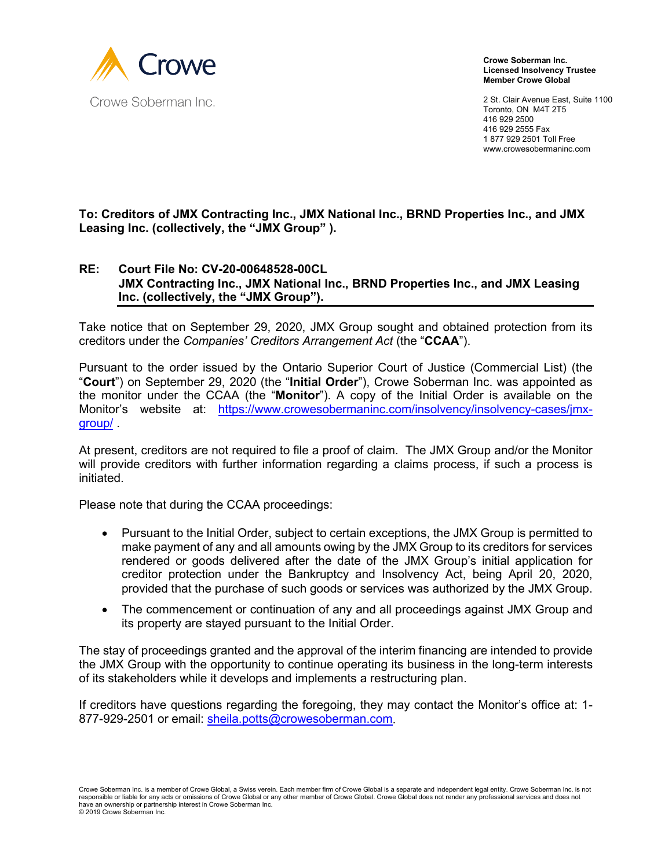

**Crowe Soberman Inc. Licensed Insolvency Trustee Member Crowe Global**

2 St. Clair Avenue East, Suite 1100 Toronto, ON M4T 2T5 416 929 2500 416 929 2555 Fax 1 877 929 2501 Toll Free www.crowesobermaninc.com

**To: Creditors of JMX Contracting Inc., JMX National Inc., BRND Properties Inc., and JMX Leasing Inc. (collectively, the "JMX Group" ).**

## **RE: Court File No: CV-20-00648528-00CL JMX Contracting Inc., JMX National Inc., BRND Properties Inc., and JMX Leasing Inc. (collectively, the "JMX Group").**

Take notice that on September 29, 2020, JMX Group sought and obtained protection from its creditors under the *Companies' Creditors Arrangement Act* (the "**CCAA**").

Pursuant to the order issued by the Ontario Superior Court of Justice (Commercial List) (the "**Court**") on September 29, 2020 (the "**Initial Order**"), Crowe Soberman Inc. was appointed as the monitor under the CCAA (the "**Monitor**"). A copy of the Initial Order is available on the Monitor's website at: [https://www.crowesobermaninc.com/insolvency/insolvency-cases/jmx](https://www.crowesobermaninc.com/insolvency/insolvency-cases/jmx-group/)[group/](https://www.crowesobermaninc.com/insolvency/insolvency-cases/jmx-group/) .

At present, creditors are not required to file a proof of claim. The JMX Group and/or the Monitor will provide creditors with further information regarding a claims process, if such a process is initiated.

Please note that during the CCAA proceedings:

- Pursuant to the Initial Order, subject to certain exceptions, the JMX Group is permitted to make payment of any and all amounts owing by the JMX Group to its creditors for services rendered or goods delivered after the date of the JMX Group's initial application for creditor protection under the Bankruptcy and Insolvency Act, being April 20, 2020, provided that the purchase of such goods or services was authorized by the JMX Group.
- The commencement or continuation of any and all proceedings against JMX Group and its property are stayed pursuant to the Initial Order.

The stay of proceedings granted and the approval of the interim financing are intended to provide the JMX Group with the opportunity to continue operating its business in the long-term interests of its stakeholders while it develops and implements a restructuring plan.

If creditors have questions regarding the foregoing, they may contact the Monitor's office at: [1-](tel:1-855-747-2648) [877-929-2501](tel:1-855-747-2648) or email: [sheila.potts@crowesoberman.com.](mailto:sheila.potts@crowesoberman.com)